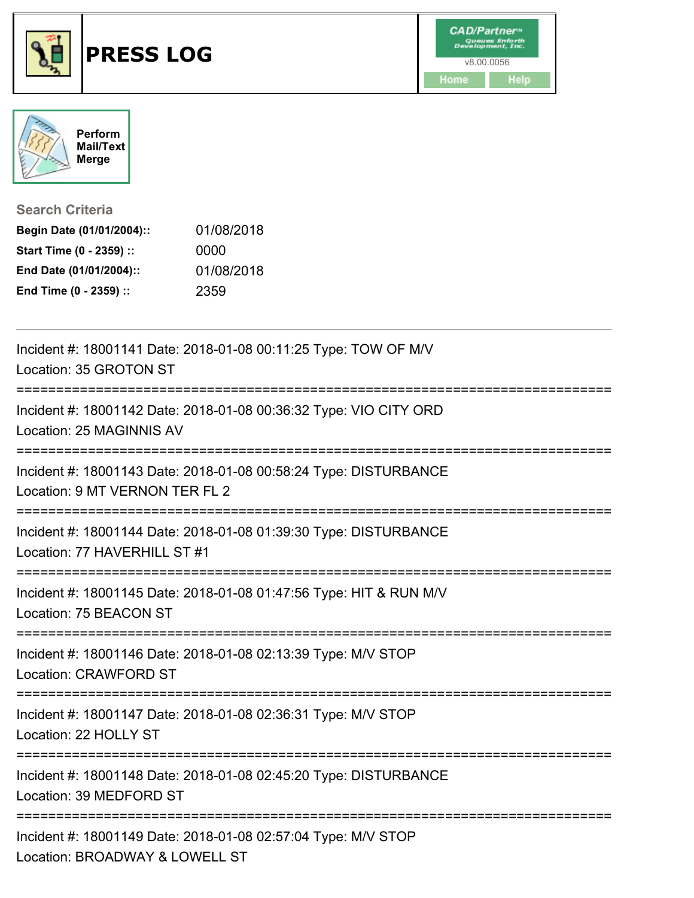





**Search Criteria**

| Begin Date (01/01/2004):: | 01/08/2018 |
|---------------------------|------------|
| Start Time (0 - 2359) ::  | 0000       |
| End Date (01/01/2004)::   | 01/08/2018 |
| End Time (0 - 2359) ::    | 2359       |

| Incident #: 18001141 Date: 2018-01-08 00:11:25 Type: TOW OF M/V<br>Location: 35 GROTON ST          |
|----------------------------------------------------------------------------------------------------|
| Incident #: 18001142 Date: 2018-01-08 00:36:32 Type: VIO CITY ORD<br>Location: 25 MAGINNIS AV      |
| Incident #: 18001143 Date: 2018-01-08 00:58:24 Type: DISTURBANCE<br>Location: 9 MT VERNON TER FL 2 |
| Incident #: 18001144 Date: 2018-01-08 01:39:30 Type: DISTURBANCE<br>Location: 77 HAVERHILL ST #1   |
| Incident #: 18001145 Date: 2018-01-08 01:47:56 Type: HIT & RUN M/V<br>Location: 75 BEACON ST       |
| Incident #: 18001146 Date: 2018-01-08 02:13:39 Type: M/V STOP<br>Location: CRAWFORD ST             |
| Incident #: 18001147 Date: 2018-01-08 02:36:31 Type: M/V STOP<br>Location: 22 HOLLY ST             |
| Incident #: 18001148 Date: 2018-01-08 02:45:20 Type: DISTURBANCE<br>Location: 39 MEDFORD ST        |
| Incident #: 18001149 Date: 2018-01-08 02:57:04 Type: M/V STOP<br>Location: BROADWAY & LOWELL ST    |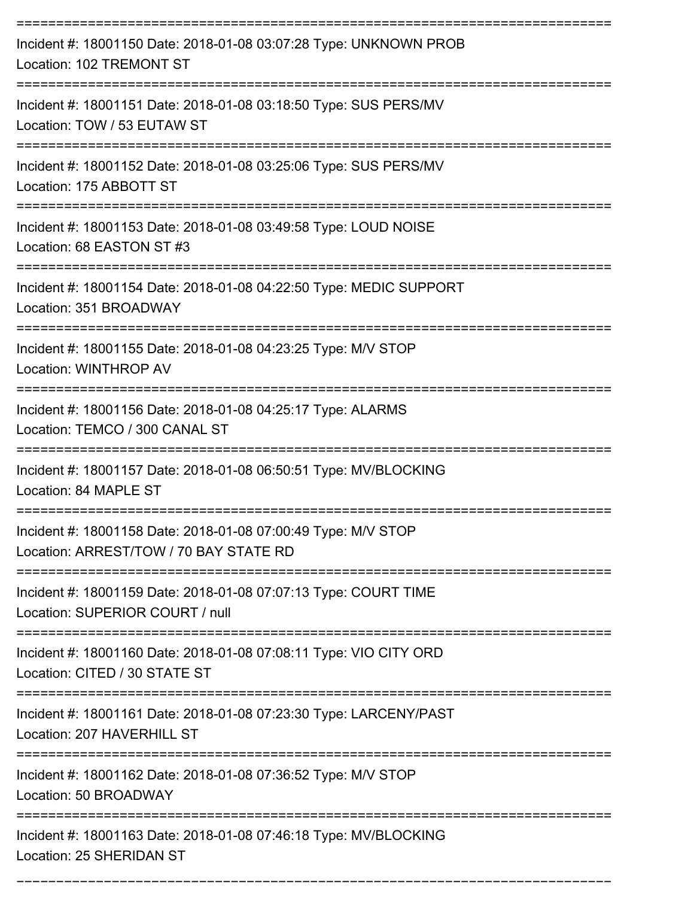| Incident #: 18001150 Date: 2018-01-08 03:07:28 Type: UNKNOWN PROB<br>Location: 102 TREMONT ST           |
|---------------------------------------------------------------------------------------------------------|
| Incident #: 18001151 Date: 2018-01-08 03:18:50 Type: SUS PERS/MV<br>Location: TOW / 53 EUTAW ST         |
| Incident #: 18001152 Date: 2018-01-08 03:25:06 Type: SUS PERS/MV<br>Location: 175 ABBOTT ST             |
| Incident #: 18001153 Date: 2018-01-08 03:49:58 Type: LOUD NOISE<br>Location: 68 EASTON ST #3            |
| Incident #: 18001154 Date: 2018-01-08 04:22:50 Type: MEDIC SUPPORT<br>Location: 351 BROADWAY            |
| Incident #: 18001155 Date: 2018-01-08 04:23:25 Type: M/V STOP<br>Location: WINTHROP AV                  |
| Incident #: 18001156 Date: 2018-01-08 04:25:17 Type: ALARMS<br>Location: TEMCO / 300 CANAL ST           |
| Incident #: 18001157 Date: 2018-01-08 06:50:51 Type: MV/BLOCKING<br>Location: 84 MAPLE ST               |
| Incident #: 18001158 Date: 2018-01-08 07:00:49 Type: M/V STOP<br>Location: ARREST/TOW / 70 BAY STATE RD |
| Incident #: 18001159 Date: 2018-01-08 07:07:13 Type: COURT TIME<br>Location: SUPERIOR COURT / null      |
| Incident #: 18001160 Date: 2018-01-08 07:08:11 Type: VIO CITY ORD<br>Location: CITED / 30 STATE ST      |
| Incident #: 18001161 Date: 2018-01-08 07:23:30 Type: LARCENY/PAST<br>Location: 207 HAVERHILL ST         |
| Incident #: 18001162 Date: 2018-01-08 07:36:52 Type: M/V STOP<br>Location: 50 BROADWAY                  |
| Incident #: 18001163 Date: 2018-01-08 07:46:18 Type: MV/BLOCKING<br>Location: 25 SHERIDAN ST            |

===========================================================================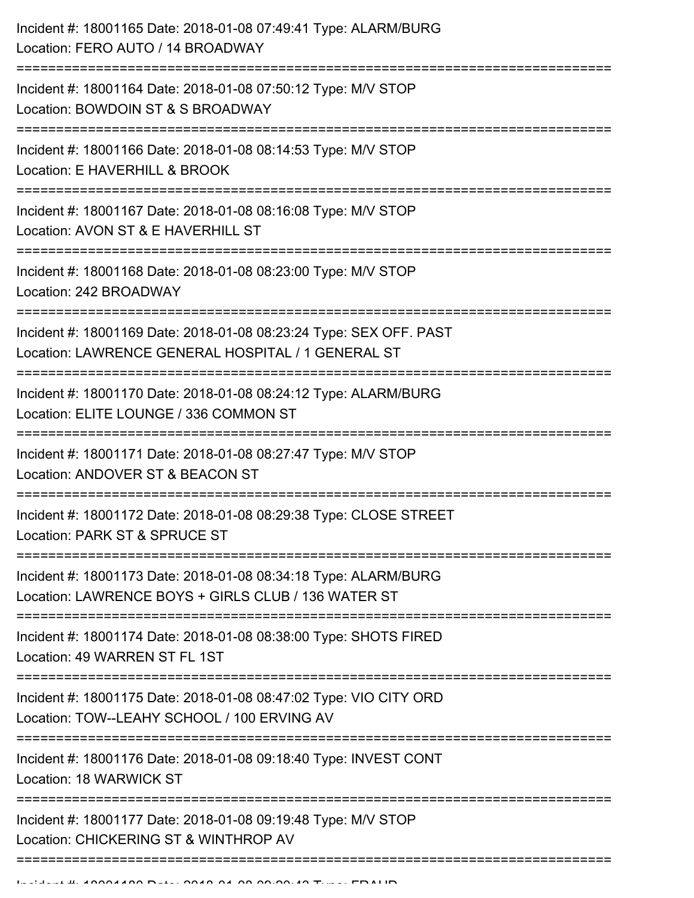| Incident #: 18001165 Date: 2018-01-08 07:49:41 Type: ALARM/BURG<br>Location: FERO AUTO / 14 BROADWAY                                                                                      |
|-------------------------------------------------------------------------------------------------------------------------------------------------------------------------------------------|
| Incident #: 18001164 Date: 2018-01-08 07:50:12 Type: M/V STOP<br>Location: BOWDOIN ST & S BROADWAY                                                                                        |
| Incident #: 18001166 Date: 2018-01-08 08:14:53 Type: M/V STOP<br>Location: E HAVERHILL & BROOK                                                                                            |
| Incident #: 18001167 Date: 2018-01-08 08:16:08 Type: M/V STOP<br>Location: AVON ST & E HAVERHILL ST                                                                                       |
| Incident #: 18001168 Date: 2018-01-08 08:23:00 Type: M/V STOP<br>Location: 242 BROADWAY                                                                                                   |
| Incident #: 18001169 Date: 2018-01-08 08:23:24 Type: SEX OFF. PAST<br>Location: LAWRENCE GENERAL HOSPITAL / 1 GENERAL ST<br>===================================<br>:===================== |
| Incident #: 18001170 Date: 2018-01-08 08:24:12 Type: ALARM/BURG<br>Location: ELITE LOUNGE / 336 COMMON ST                                                                                 |
| Incident #: 18001171 Date: 2018-01-08 08:27:47 Type: M/V STOP<br>Location: ANDOVER ST & BEACON ST                                                                                         |
| Incident #: 18001172 Date: 2018-01-08 08:29:38 Type: CLOSE STREET<br>Location: PARK ST & SPRUCE ST                                                                                        |
| Incident #: 18001173 Date: 2018-01-08 08:34:18 Type: ALARM/BURG<br>Location: LAWRENCE BOYS + GIRLS CLUB / 136 WATER ST                                                                    |
| Incident #: 18001174 Date: 2018-01-08 08:38:00 Type: SHOTS FIRED<br>Location: 49 WARREN ST FL 1ST                                                                                         |
| Incident #: 18001175 Date: 2018-01-08 08:47:02 Type: VIO CITY ORD<br>Location: TOW--LEAHY SCHOOL / 100 ERVING AV                                                                          |
| Incident #: 18001176 Date: 2018-01-08 09:18:40 Type: INVEST CONT<br>Location: 18 WARWICK ST                                                                                               |
| Incident #: 18001177 Date: 2018-01-08 09:19:48 Type: M/V STOP<br>Location: CHICKERING ST & WINTHROP AV                                                                                    |
|                                                                                                                                                                                           |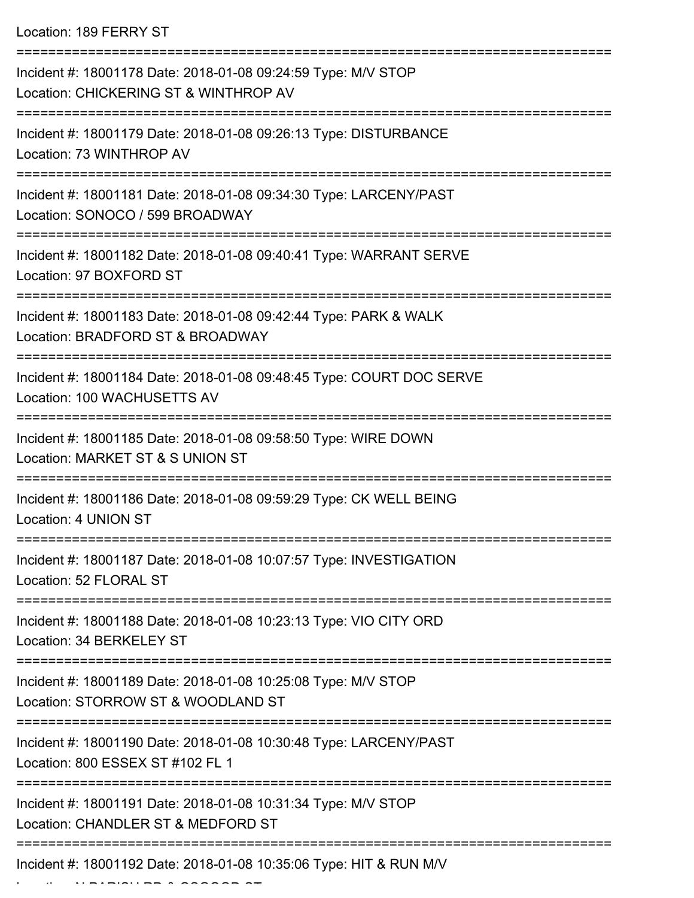| Location: 189 FERRY ST |  |  |  |
|------------------------|--|--|--|
|------------------------|--|--|--|

Location: N PARISH RD & OSGOOD ST

| Incident #: 18001178 Date: 2018-01-08 09:24:59 Type: M/V STOP<br>Location: CHICKERING ST & WINTHROP AV |
|--------------------------------------------------------------------------------------------------------|
| Incident #: 18001179 Date: 2018-01-08 09:26:13 Type: DISTURBANCE<br>Location: 73 WINTHROP AV           |
| Incident #: 18001181 Date: 2018-01-08 09:34:30 Type: LARCENY/PAST<br>Location: SONOCO / 599 BROADWAY   |
| Incident #: 18001182 Date: 2018-01-08 09:40:41 Type: WARRANT SERVE<br>Location: 97 BOXFORD ST          |
| Incident #: 18001183 Date: 2018-01-08 09:42:44 Type: PARK & WALK<br>Location: BRADFORD ST & BROADWAY   |
| Incident #: 18001184 Date: 2018-01-08 09:48:45 Type: COURT DOC SERVE<br>Location: 100 WACHUSETTS AV    |
| Incident #: 18001185 Date: 2018-01-08 09:58:50 Type: WIRE DOWN<br>Location: MARKET ST & S UNION ST     |
| Incident #: 18001186 Date: 2018-01-08 09:59:29 Type: CK WELL BEING<br>Location: 4 UNION ST             |
| Incident #: 18001187 Date: 2018-01-08 10:07:57 Type: INVESTIGATION<br>Location: 52 FLORAL ST           |
| Incident #: 18001188 Date: 2018-01-08 10:23:13 Type: VIO CITY ORD<br>Location: 34 BERKELEY ST          |
| Incident #: 18001189 Date: 2018-01-08 10:25:08 Type: M/V STOP<br>Location: STORROW ST & WOODLAND ST    |
| Incident #: 18001190 Date: 2018-01-08 10:30:48 Type: LARCENY/PAST<br>Location: 800 ESSEX ST #102 FL 1  |
| Incident #: 18001191 Date: 2018-01-08 10:31:34 Type: M/V STOP<br>Location: CHANDLER ST & MEDFORD ST    |
| Incident #: 18001192 Date: 2018-01-08 10:35:06 Type: HIT & RUN M/V                                     |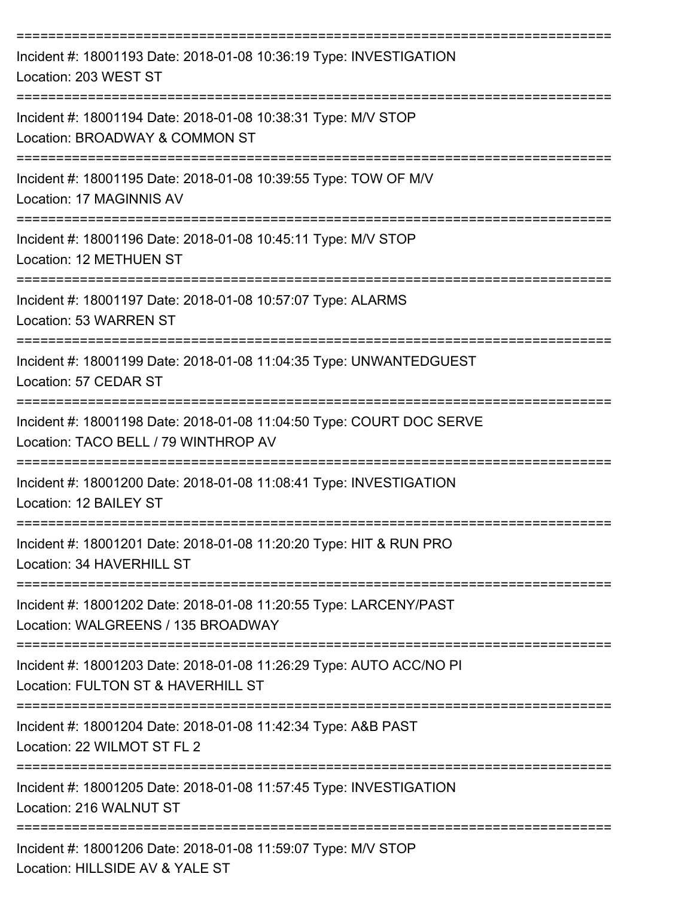| Incident #: 18001193 Date: 2018-01-08 10:36:19 Type: INVESTIGATION<br>Location: 203 WEST ST                  |
|--------------------------------------------------------------------------------------------------------------|
| Incident #: 18001194 Date: 2018-01-08 10:38:31 Type: M/V STOP<br>Location: BROADWAY & COMMON ST              |
| Incident #: 18001195 Date: 2018-01-08 10:39:55 Type: TOW OF M/V<br>Location: 17 MAGINNIS AV                  |
| Incident #: 18001196 Date: 2018-01-08 10:45:11 Type: M/V STOP<br>Location: 12 METHUEN ST                     |
| Incident #: 18001197 Date: 2018-01-08 10:57:07 Type: ALARMS<br>Location: 53 WARREN ST                        |
| Incident #: 18001199 Date: 2018-01-08 11:04:35 Type: UNWANTEDGUEST<br>Location: 57 CEDAR ST                  |
| Incident #: 18001198 Date: 2018-01-08 11:04:50 Type: COURT DOC SERVE<br>Location: TACO BELL / 79 WINTHROP AV |
| Incident #: 18001200 Date: 2018-01-08 11:08:41 Type: INVESTIGATION<br>Location: 12 BAILEY ST                 |
| Incident #: 18001201 Date: 2018-01-08 11:20:20 Type: HIT & RUN PRO<br>Location: 34 HAVERHILL ST              |
| Incident #: 18001202 Date: 2018-01-08 11:20:55 Type: LARCENY/PAST<br>Location: WALGREENS / 135 BROADWAY      |
| Incident #: 18001203 Date: 2018-01-08 11:26:29 Type: AUTO ACC/NO PI<br>Location: FULTON ST & HAVERHILL ST    |
| Incident #: 18001204 Date: 2018-01-08 11:42:34 Type: A&B PAST<br>Location: 22 WILMOT ST FL 2                 |
| Incident #: 18001205 Date: 2018-01-08 11:57:45 Type: INVESTIGATION<br>Location: 216 WALNUT ST                |
| Incident #: 18001206 Date: 2018-01-08 11:59:07 Type: M/V STOP<br>Location: HILLSIDE AV & YALE ST             |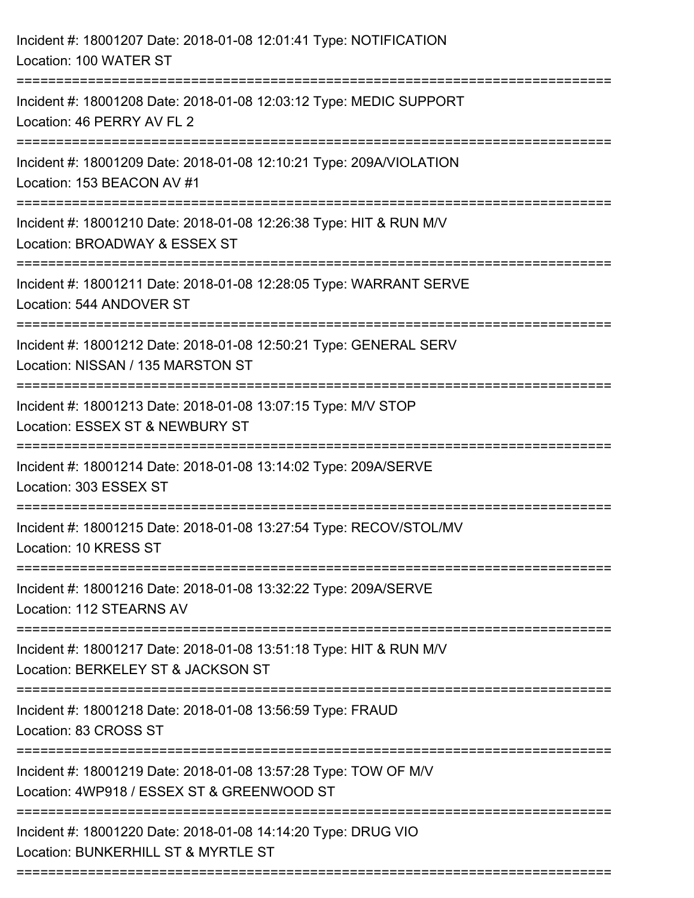| Incident #: 18001207 Date: 2018-01-08 12:01:41 Type: NOTIFICATION<br>Location: 100 WATER ST                                 |
|-----------------------------------------------------------------------------------------------------------------------------|
| Incident #: 18001208 Date: 2018-01-08 12:03:12 Type: MEDIC SUPPORT<br>Location: 46 PERRY AV FL 2                            |
| Incident #: 18001209 Date: 2018-01-08 12:10:21 Type: 209A/VIOLATION<br>Location: 153 BEACON AV #1                           |
| Incident #: 18001210 Date: 2018-01-08 12:26:38 Type: HIT & RUN M/V<br>Location: BROADWAY & ESSEX ST                         |
| Incident #: 18001211 Date: 2018-01-08 12:28:05 Type: WARRANT SERVE<br>Location: 544 ANDOVER ST                              |
| Incident #: 18001212 Date: 2018-01-08 12:50:21 Type: GENERAL SERV<br>Location: NISSAN / 135 MARSTON ST                      |
| Incident #: 18001213 Date: 2018-01-08 13:07:15 Type: M/V STOP<br>Location: ESSEX ST & NEWBURY ST<br>;====================== |
| Incident #: 18001214 Date: 2018-01-08 13:14:02 Type: 209A/SERVE<br>Location: 303 ESSEX ST                                   |
| Incident #: 18001215 Date: 2018-01-08 13:27:54 Type: RECOV/STOL/MV<br>Location: 10 KRESS ST                                 |
| Incident #: 18001216 Date: 2018-01-08 13:32:22 Type: 209A/SERVE<br>Location: 112 STEARNS AV                                 |
| Incident #: 18001217 Date: 2018-01-08 13:51:18 Type: HIT & RUN M/V<br>Location: BERKELEY ST & JACKSON ST                    |
| Incident #: 18001218 Date: 2018-01-08 13:56:59 Type: FRAUD<br>Location: 83 CROSS ST                                         |
| Incident #: 18001219 Date: 2018-01-08 13:57:28 Type: TOW OF M/V<br>Location: 4WP918 / ESSEX ST & GREENWOOD ST               |
| Incident #: 18001220 Date: 2018-01-08 14:14:20 Type: DRUG VIO<br>Location: BUNKERHILL ST & MYRTLE ST                        |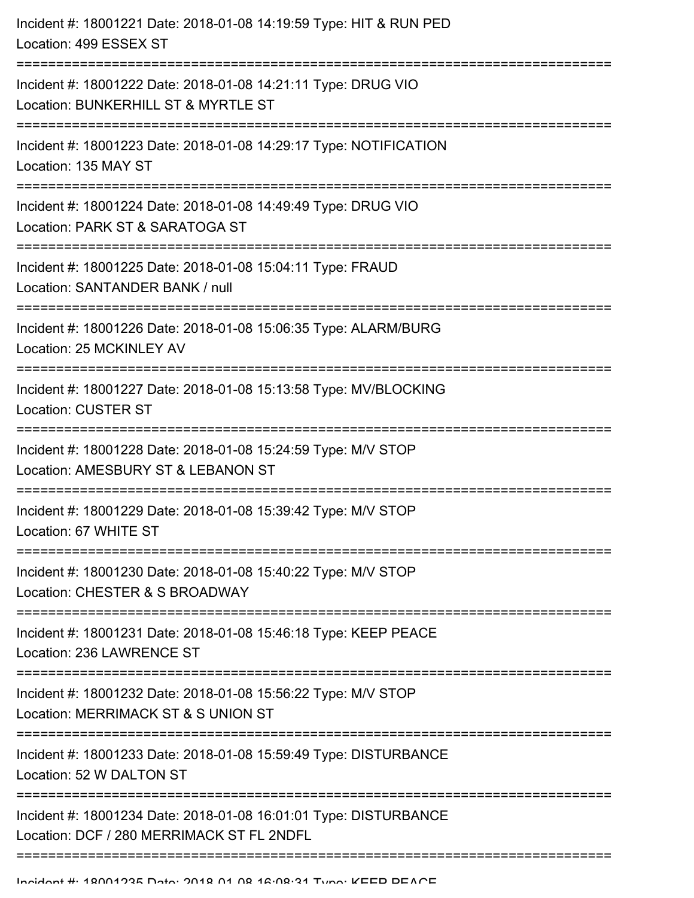| Incident #: 18001221 Date: 2018-01-08 14:19:59 Type: HIT & RUN PED<br>Location: 499 ESSEX ST                                    |
|---------------------------------------------------------------------------------------------------------------------------------|
| Incident #: 18001222 Date: 2018-01-08 14:21:11 Type: DRUG VIO<br>Location: BUNKERHILL ST & MYRTLE ST<br>;====================== |
| Incident #: 18001223 Date: 2018-01-08 14:29:17 Type: NOTIFICATION<br>Location: 135 MAY ST                                       |
| Incident #: 18001224 Date: 2018-01-08 14:49:49 Type: DRUG VIO<br>Location: PARK ST & SARATOGA ST                                |
| Incident #: 18001225 Date: 2018-01-08 15:04:11 Type: FRAUD<br>Location: SANTANDER BANK / null                                   |
| Incident #: 18001226 Date: 2018-01-08 15:06:35 Type: ALARM/BURG<br>Location: 25 MCKINLEY AV                                     |
| Incident #: 18001227 Date: 2018-01-08 15:13:58 Type: MV/BLOCKING<br><b>Location: CUSTER ST</b>                                  |
| Incident #: 18001228 Date: 2018-01-08 15:24:59 Type: M/V STOP<br>Location: AMESBURY ST & LEBANON ST                             |
| Incident #: 18001229 Date: 2018-01-08 15:39:42 Type: M/V STOP<br>Location: 67 WHITE ST                                          |
| Incident #: 18001230 Date: 2018-01-08 15:40:22 Type: M/V STOP<br>Location: CHESTER & S BROADWAY                                 |
| Incident #: 18001231 Date: 2018-01-08 15:46:18 Type: KEEP PEACE<br>Location: 236 LAWRENCE ST                                    |
| Incident #: 18001232 Date: 2018-01-08 15:56:22 Type: M/V STOP<br>Location: MERRIMACK ST & S UNION ST                            |
| Incident #: 18001233 Date: 2018-01-08 15:59:49 Type: DISTURBANCE<br>Location: 52 W DALTON ST                                    |
| Incident #: 18001234 Date: 2018-01-08 16:01:01 Type: DISTURBANCE<br>Location: DCF / 280 MERRIMACK ST FL 2NDFL                   |
|                                                                                                                                 |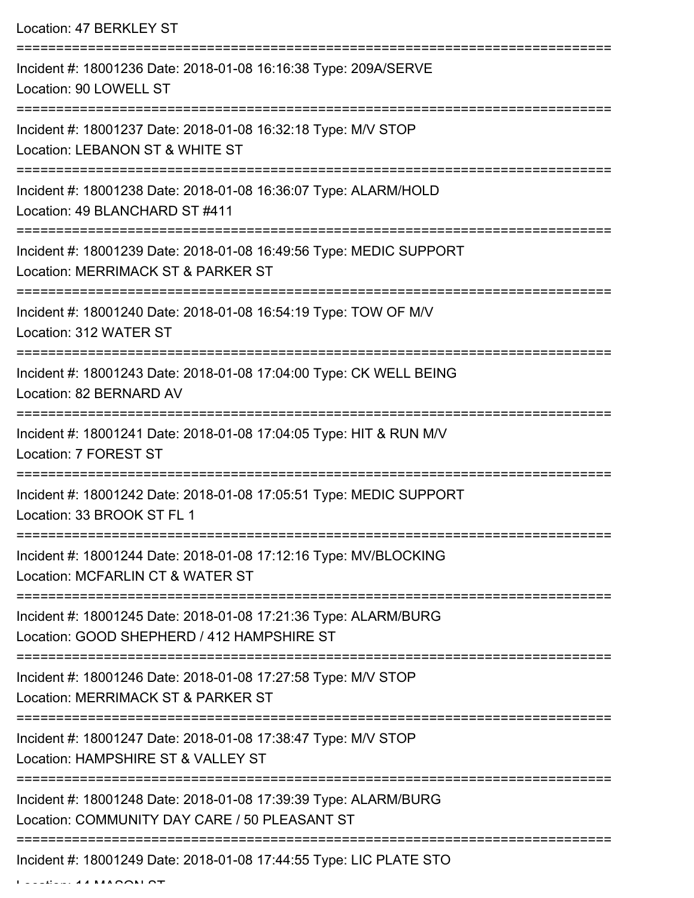Location: 47 BERKLEY ST

| Incident #: 18001236 Date: 2018-01-08 16:16:38 Type: 209A/SERVE<br>Location: 90 LOWELL ST                                    |
|------------------------------------------------------------------------------------------------------------------------------|
| Incident #: 18001237 Date: 2018-01-08 16:32:18 Type: M/V STOP<br>Location: LEBANON ST & WHITE ST                             |
| Incident #: 18001238 Date: 2018-01-08 16:36:07 Type: ALARM/HOLD<br>Location: 49 BLANCHARD ST #411                            |
| Incident #: 18001239 Date: 2018-01-08 16:49:56 Type: MEDIC SUPPORT<br>Location: MERRIMACK ST & PARKER ST                     |
| Incident #: 18001240 Date: 2018-01-08 16:54:19 Type: TOW OF M/V<br>Location: 312 WATER ST                                    |
| Incident #: 18001243 Date: 2018-01-08 17:04:00 Type: CK WELL BEING<br>Location: 82 BERNARD AV                                |
| Incident #: 18001241 Date: 2018-01-08 17:04:05 Type: HIT & RUN M/V<br>Location: 7 FOREST ST                                  |
| Incident #: 18001242 Date: 2018-01-08 17:05:51 Type: MEDIC SUPPORT<br>Location: 33 BROOK ST FL 1                             |
| Incident #: 18001244 Date: 2018-01-08 17:12:16 Type: MV/BLOCKING<br>Location: MCFARLIN CT & WATER ST                         |
| Incident #: 18001245 Date: 2018-01-08 17:21:36 Type: ALARM/BURG<br>Location: GOOD SHEPHERD / 412 HAMPSHIRE ST                |
| Incident #: 18001246 Date: 2018-01-08 17:27:58 Type: M/V STOP<br>Location: MERRIMACK ST & PARKER ST<br>--------------------- |
| Incident #: 18001247 Date: 2018-01-08 17:38:47 Type: M/V STOP<br>Location: HAMPSHIRE ST & VALLEY ST                          |
| Incident #: 18001248 Date: 2018-01-08 17:39:39 Type: ALARM/BURG<br>Location: COMMUNITY DAY CARE / 50 PLEASANT ST             |
| Incident #: 18001249 Date: 2018-01-08 17:44:55 Type: LIC PLATE STO                                                           |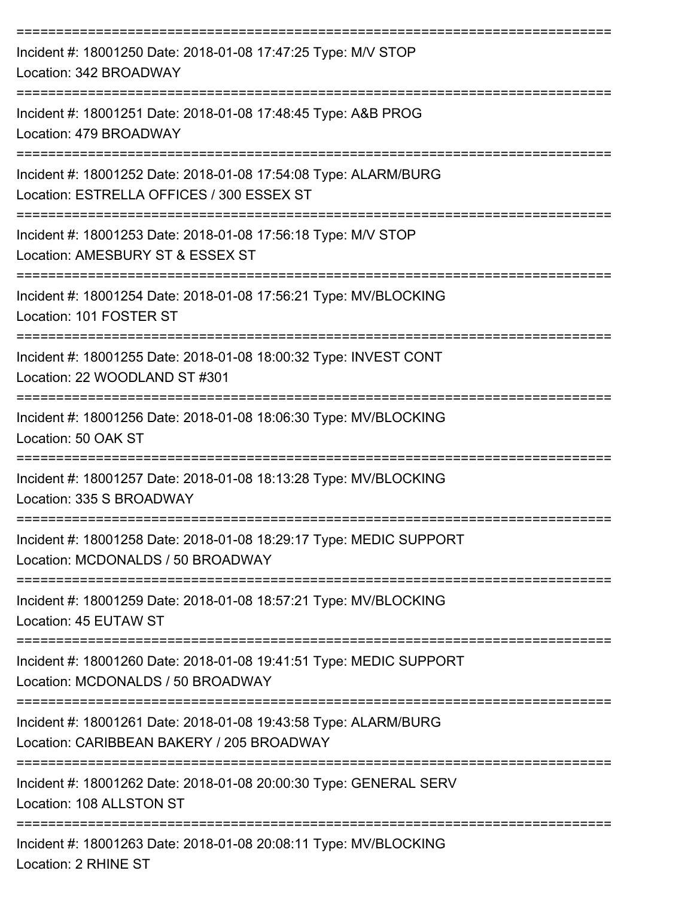| Incident #: 18001250 Date: 2018-01-08 17:47:25 Type: M/V STOP<br>Location: 342 BROADWAY                      |
|--------------------------------------------------------------------------------------------------------------|
| Incident #: 18001251 Date: 2018-01-08 17:48:45 Type: A&B PROG<br>Location: 479 BROADWAY                      |
| Incident #: 18001252 Date: 2018-01-08 17:54:08 Type: ALARM/BURG<br>Location: ESTRELLA OFFICES / 300 ESSEX ST |
| Incident #: 18001253 Date: 2018-01-08 17:56:18 Type: M/V STOP<br>Location: AMESBURY ST & ESSEX ST            |
| Incident #: 18001254 Date: 2018-01-08 17:56:21 Type: MV/BLOCKING<br>Location: 101 FOSTER ST                  |
| Incident #: 18001255 Date: 2018-01-08 18:00:32 Type: INVEST CONT<br>Location: 22 WOODLAND ST #301            |
| Incident #: 18001256 Date: 2018-01-08 18:06:30 Type: MV/BLOCKING<br>Location: 50 OAK ST                      |
| Incident #: 18001257 Date: 2018-01-08 18:13:28 Type: MV/BLOCKING<br>Location: 335 S BROADWAY                 |
| Incident #: 18001258 Date: 2018-01-08 18:29:17 Type: MEDIC SUPPORT<br>Location: MCDONALDS / 50 BROADWAY      |
| Incident #: 18001259 Date: 2018-01-08 18:57:21 Type: MV/BLOCKING<br>Location: 45 EUTAW ST                    |
| Incident #: 18001260 Date: 2018-01-08 19:41:51 Type: MEDIC SUPPORT<br>Location: MCDONALDS / 50 BROADWAY      |
| Incident #: 18001261 Date: 2018-01-08 19:43:58 Type: ALARM/BURG<br>Location: CARIBBEAN BAKERY / 205 BROADWAY |
| Incident #: 18001262 Date: 2018-01-08 20:00:30 Type: GENERAL SERV<br>Location: 108 ALLSTON ST                |
| Incident #: 18001263 Date: 2018-01-08 20:08:11 Type: MV/BLOCKING                                             |

Location: 2 RHINE ST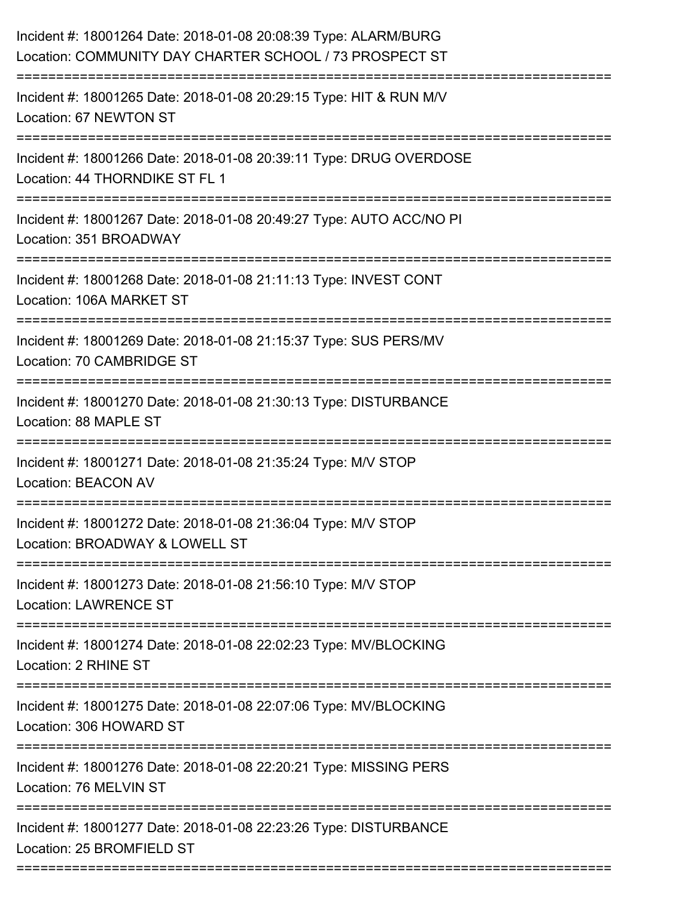| Incident #: 18001264 Date: 2018-01-08 20:08:39 Type: ALARM/BURG<br>Location: COMMUNITY DAY CHARTER SCHOOL / 73 PROSPECT ST |
|----------------------------------------------------------------------------------------------------------------------------|
| Incident #: 18001265 Date: 2018-01-08 20:29:15 Type: HIT & RUN M/V<br>Location: 67 NEWTON ST                               |
| Incident #: 18001266 Date: 2018-01-08 20:39:11 Type: DRUG OVERDOSE<br>Location: 44 THORNDIKE ST FL 1                       |
| Incident #: 18001267 Date: 2018-01-08 20:49:27 Type: AUTO ACC/NO PI<br>Location: 351 BROADWAY                              |
| Incident #: 18001268 Date: 2018-01-08 21:11:13 Type: INVEST CONT<br>Location: 106A MARKET ST                               |
| Incident #: 18001269 Date: 2018-01-08 21:15:37 Type: SUS PERS/MV<br>Location: 70 CAMBRIDGE ST                              |
| Incident #: 18001270 Date: 2018-01-08 21:30:13 Type: DISTURBANCE<br>Location: 88 MAPLE ST                                  |
| Incident #: 18001271 Date: 2018-01-08 21:35:24 Type: M/V STOP<br><b>Location: BEACON AV</b>                                |
| Incident #: 18001272 Date: 2018-01-08 21:36:04 Type: M/V STOP<br>Location: BROADWAY & LOWELL ST                            |
| Incident #: 18001273 Date: 2018-01-08 21:56:10 Type: M/V STOP<br><b>Location: LAWRENCE ST</b>                              |
| Incident #: 18001274 Date: 2018-01-08 22:02:23 Type: MV/BLOCKING<br>Location: 2 RHINE ST                                   |
| Incident #: 18001275 Date: 2018-01-08 22:07:06 Type: MV/BLOCKING<br>Location: 306 HOWARD ST                                |
| Incident #: 18001276 Date: 2018-01-08 22:20:21 Type: MISSING PERS<br>Location: 76 MELVIN ST                                |
| Incident #: 18001277 Date: 2018-01-08 22:23:26 Type: DISTURBANCE<br>Location: 25 BROMFIELD ST                              |
|                                                                                                                            |